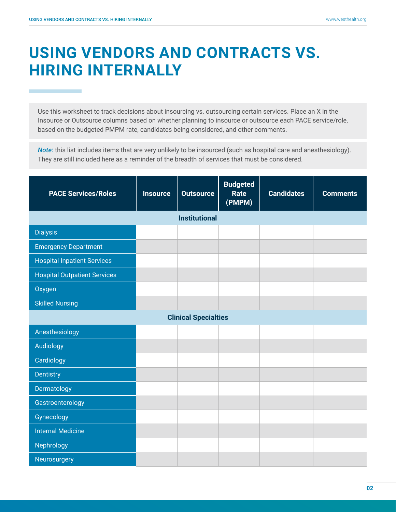## **USING VENDORS AND CONTRACTS VS. HIRING INTERNALLY**

Use this worksheet to track decisions about insourcing vs. outsourcing certain services. Place an X in the Insource or Outsource columns based on whether planning to insource or outsource each PACE service/role, based on the budgeted PMPM rate, candidates being considered, and other comments.

*Note:* this list includes items that are very unlikely to be insourced (such as hospital care and anesthesiology). They are still included here as a reminder of the breadth of services that must be considered.

| <b>PACE Services/Roles</b>          | <b>Insource</b> | <b>Outsource</b> | <b>Budgeted</b><br>Rate<br>(PMPM) | <b>Candidates</b> | <b>Comments</b> |  |  |
|-------------------------------------|-----------------|------------------|-----------------------------------|-------------------|-----------------|--|--|
| <b>Institutional</b>                |                 |                  |                                   |                   |                 |  |  |
| <b>Dialysis</b>                     |                 |                  |                                   |                   |                 |  |  |
| <b>Emergency Department</b>         |                 |                  |                                   |                   |                 |  |  |
| <b>Hospital Inpatient Services</b>  |                 |                  |                                   |                   |                 |  |  |
| <b>Hospital Outpatient Services</b> |                 |                  |                                   |                   |                 |  |  |
| Oxygen                              |                 |                  |                                   |                   |                 |  |  |
| <b>Skilled Nursing</b>              |                 |                  |                                   |                   |                 |  |  |
| <b>Clinical Specialties</b>         |                 |                  |                                   |                   |                 |  |  |
| Anesthesiology                      |                 |                  |                                   |                   |                 |  |  |
| Audiology                           |                 |                  |                                   |                   |                 |  |  |
| Cardiology                          |                 |                  |                                   |                   |                 |  |  |
| Dentistry                           |                 |                  |                                   |                   |                 |  |  |
| Dermatology                         |                 |                  |                                   |                   |                 |  |  |
| Gastroenterology                    |                 |                  |                                   |                   |                 |  |  |
| Gynecology                          |                 |                  |                                   |                   |                 |  |  |
| <b>Internal Medicine</b>            |                 |                  |                                   |                   |                 |  |  |
| Nephrology                          |                 |                  |                                   |                   |                 |  |  |
| Neurosurgery                        |                 |                  |                                   |                   |                 |  |  |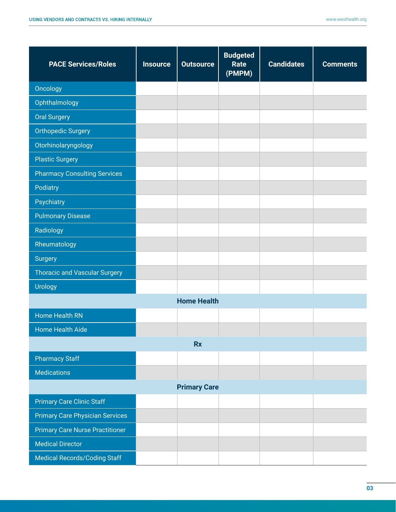| <b>PACE Services/Roles</b>             | <b>Insource</b> | <b>Outsource</b> | <b>Budgeted</b><br>Rate<br>(PMPM) | <b>Candidates</b> | <b>Comments</b> |  |
|----------------------------------------|-----------------|------------------|-----------------------------------|-------------------|-----------------|--|
| Oncology                               |                 |                  |                                   |                   |                 |  |
| Ophthalmology                          |                 |                  |                                   |                   |                 |  |
| <b>Oral Surgery</b>                    |                 |                  |                                   |                   |                 |  |
| <b>Orthopedic Surgery</b>              |                 |                  |                                   |                   |                 |  |
| Otorhinolaryngology                    |                 |                  |                                   |                   |                 |  |
| <b>Plastic Surgery</b>                 |                 |                  |                                   |                   |                 |  |
| <b>Pharmacy Consulting Services</b>    |                 |                  |                                   |                   |                 |  |
| Podiatry                               |                 |                  |                                   |                   |                 |  |
| Psychiatry                             |                 |                  |                                   |                   |                 |  |
| <b>Pulmonary Disease</b>               |                 |                  |                                   |                   |                 |  |
| Radiology                              |                 |                  |                                   |                   |                 |  |
| Rheumatology                           |                 |                  |                                   |                   |                 |  |
| <b>Surgery</b>                         |                 |                  |                                   |                   |                 |  |
| <b>Thoracic and Vascular Surgery</b>   |                 |                  |                                   |                   |                 |  |
| <b>Urology</b>                         |                 |                  |                                   |                   |                 |  |
| <b>Home Health</b>                     |                 |                  |                                   |                   |                 |  |
| <b>Home Health RN</b>                  |                 |                  |                                   |                   |                 |  |
| <b>Home Health Aide</b>                |                 |                  |                                   |                   |                 |  |
| <b>Rx</b>                              |                 |                  |                                   |                   |                 |  |
| <b>Pharmacy Staff</b>                  |                 |                  |                                   |                   |                 |  |
| <b>Medications</b>                     |                 |                  |                                   |                   |                 |  |
| <b>Primary Care</b>                    |                 |                  |                                   |                   |                 |  |
| <b>Primary Care Clinic Staff</b>       |                 |                  |                                   |                   |                 |  |
| <b>Primary Care Physician Services</b> |                 |                  |                                   |                   |                 |  |
| <b>Primary Care Nurse Practitioner</b> |                 |                  |                                   |                   |                 |  |
| <b>Medical Director</b>                |                 |                  |                                   |                   |                 |  |
| <b>Medical Records/Coding Staff</b>    |                 |                  |                                   |                   |                 |  |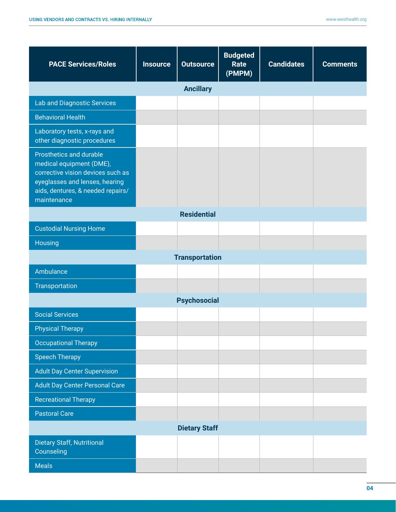| <b>PACE Services/Roles</b>                                                                                                                                                     | <b>Insource</b> | <b>Outsource</b>    | <b>Budgeted</b><br>Rate<br>(PMPM) | <b>Candidates</b> | <b>Comments</b> |  |
|--------------------------------------------------------------------------------------------------------------------------------------------------------------------------------|-----------------|---------------------|-----------------------------------|-------------------|-----------------|--|
| <b>Ancillary</b>                                                                                                                                                               |                 |                     |                                   |                   |                 |  |
| <b>Lab and Diagnostic Services</b>                                                                                                                                             |                 |                     |                                   |                   |                 |  |
| <b>Behavioral Health</b>                                                                                                                                                       |                 |                     |                                   |                   |                 |  |
| Laboratory tests, x-rays and<br>other diagnostic procedures                                                                                                                    |                 |                     |                                   |                   |                 |  |
| Prosthetics and durable<br>medical equipment (DME),<br>corrective vision devices such as<br>eyeglasses and lenses, hearing<br>aids, dentures, & needed repairs/<br>maintenance |                 |                     |                                   |                   |                 |  |
| <b>Residential</b>                                                                                                                                                             |                 |                     |                                   |                   |                 |  |
| <b>Custodial Nursing Home</b>                                                                                                                                                  |                 |                     |                                   |                   |                 |  |
| Housing                                                                                                                                                                        |                 |                     |                                   |                   |                 |  |
| <b>Transportation</b>                                                                                                                                                          |                 |                     |                                   |                   |                 |  |
| Ambulance                                                                                                                                                                      |                 |                     |                                   |                   |                 |  |
| Transportation                                                                                                                                                                 |                 |                     |                                   |                   |                 |  |
|                                                                                                                                                                                |                 | <b>Psychosocial</b> |                                   |                   |                 |  |
| <b>Social Services</b>                                                                                                                                                         |                 |                     |                                   |                   |                 |  |
| <b>Physical Therapy</b>                                                                                                                                                        |                 |                     |                                   |                   |                 |  |
| <b>Occupational Therapy</b>                                                                                                                                                    |                 |                     |                                   |                   |                 |  |
| <b>Speech Therapy</b>                                                                                                                                                          |                 |                     |                                   |                   |                 |  |
| <b>Adult Day Center Supervision</b>                                                                                                                                            |                 |                     |                                   |                   |                 |  |
| <b>Adult Day Center Personal Care</b>                                                                                                                                          |                 |                     |                                   |                   |                 |  |
| <b>Recreational Therapy</b>                                                                                                                                                    |                 |                     |                                   |                   |                 |  |
| <b>Pastoral Care</b>                                                                                                                                                           |                 |                     |                                   |                   |                 |  |
| <b>Dietary Staff</b>                                                                                                                                                           |                 |                     |                                   |                   |                 |  |
| <b>Dietary Staff, Nutritional</b><br>Counseling                                                                                                                                |                 |                     |                                   |                   |                 |  |
| <b>Meals</b>                                                                                                                                                                   |                 |                     |                                   |                   |                 |  |